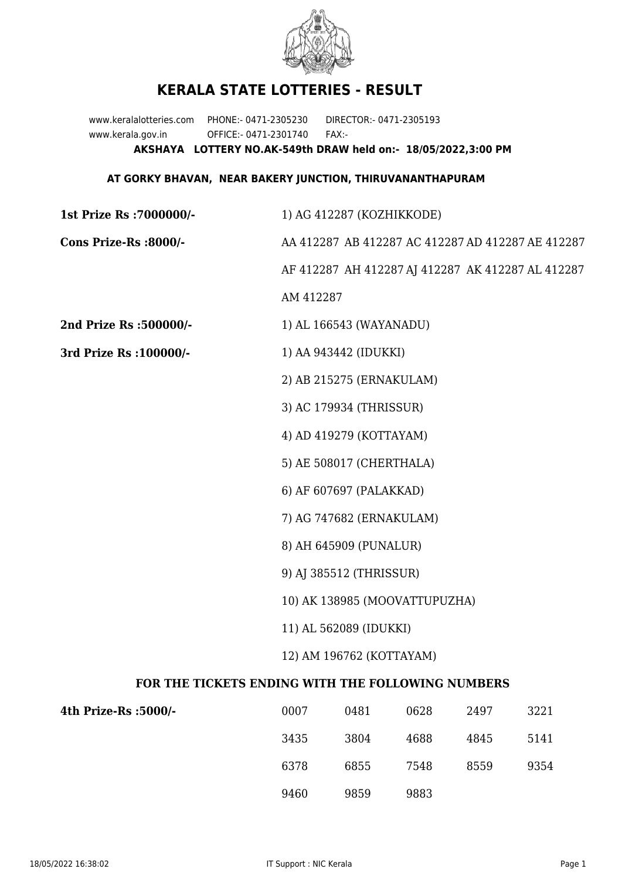

## **KERALA STATE LOTTERIES - RESULT**

www.keralalotteries.com PHONE:- 0471-2305230 DIRECTOR:- 0471-2305193 www.kerala.gov.in OFFICE:- 0471-2301740 FAX:- **AKSHAYA LOTTERY NO.AK-549th DRAW held on:- 18/05/2022,3:00 PM**

## **AT GORKY BHAVAN, NEAR BAKERY JUNCTION, THIRUVANANTHAPURAM**

| 1st Prize Rs : 7000000/-                          | 1) AG 412287 (KOZHIKKODE)                                                                              |                         |      |      |      |  |  |
|---------------------------------------------------|--------------------------------------------------------------------------------------------------------|-------------------------|------|------|------|--|--|
| Cons Prize-Rs :8000/-                             | AA 412287 AB 412287 AC 412287 AD 412287 AE 412287<br>AF 412287 AH 412287 AJ 412287 AK 412287 AL 412287 |                         |      |      |      |  |  |
|                                                   |                                                                                                        |                         |      |      |      |  |  |
|                                                   | AM 412287                                                                                              |                         |      |      |      |  |  |
| 2nd Prize Rs :500000/-                            |                                                                                                        | 1) AL 166543 (WAYANADU) |      |      |      |  |  |
| 3rd Prize Rs : 100000/-                           | 1) AA 943442 (IDUKKI)<br>2) AB 215275 (ERNAKULAM)<br>3) AC 179934 (THRISSUR)                           |                         |      |      |      |  |  |
|                                                   |                                                                                                        |                         |      |      |      |  |  |
|                                                   |                                                                                                        |                         |      |      |      |  |  |
|                                                   | 4) AD 419279 (KOTTAYAM)                                                                                |                         |      |      |      |  |  |
|                                                   | 5) AE 508017 (CHERTHALA)<br>6) AF 607697 (PALAKKAD)                                                    |                         |      |      |      |  |  |
|                                                   |                                                                                                        |                         |      |      |      |  |  |
|                                                   |                                                                                                        |                         |      |      |      |  |  |
|                                                   | 8) AH 645909 (PUNALUR)<br>9) AJ 385512 (THRISSUR)                                                      |                         |      |      |      |  |  |
|                                                   |                                                                                                        |                         |      |      |      |  |  |
|                                                   | 10) AK 138985 (MOOVATTUPUZHA)                                                                          |                         |      |      |      |  |  |
|                                                   | 11) AL 562089 (IDUKKI)                                                                                 |                         |      |      |      |  |  |
|                                                   | 12) AM 196762 (KOTTAYAM)                                                                               |                         |      |      |      |  |  |
| FOR THE TICKETS ENDING WITH THE FOLLOWING NUMBERS |                                                                                                        |                         |      |      |      |  |  |
| 4th Prize-Rs :5000/-                              | 0007                                                                                                   | 0481                    | 0628 | 2497 | 3221 |  |  |
|                                                   | 3435                                                                                                   | 3804                    | 4688 | 4845 | 5141 |  |  |
|                                                   | 6378                                                                                                   | 6855                    | 7548 | 8559 | 9354 |  |  |

9460 9859 9883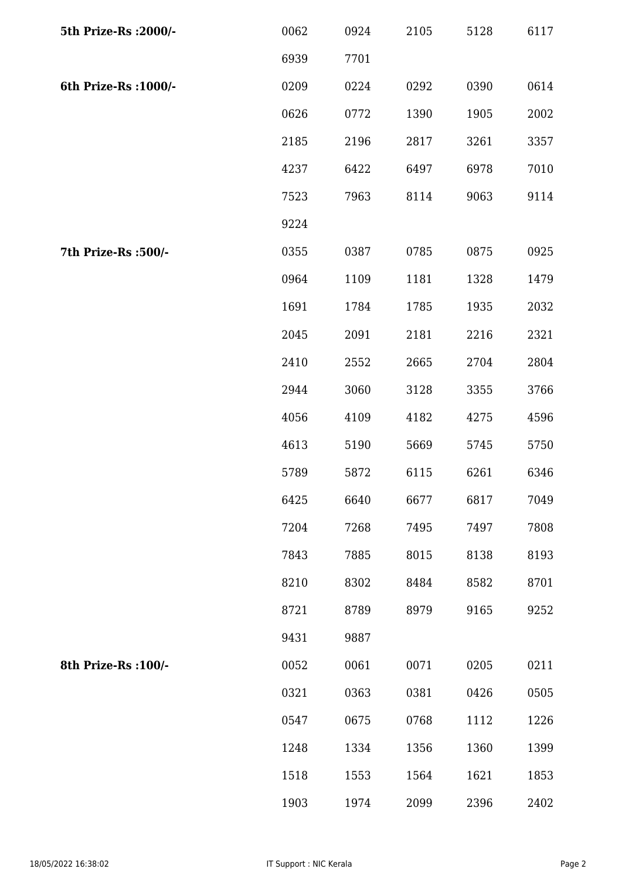| 5th Prize-Rs : 2000/- | 0062 | 0924 | 2105 | 5128 | 6117 |
|-----------------------|------|------|------|------|------|
|                       | 6939 | 7701 |      |      |      |
| 6th Prize-Rs : 1000/- | 0209 | 0224 | 0292 | 0390 | 0614 |
|                       | 0626 | 0772 | 1390 | 1905 | 2002 |
|                       | 2185 | 2196 | 2817 | 3261 | 3357 |
|                       | 4237 | 6422 | 6497 | 6978 | 7010 |
|                       | 7523 | 7963 | 8114 | 9063 | 9114 |
|                       | 9224 |      |      |      |      |
| 7th Prize-Rs : 500/-  | 0355 | 0387 | 0785 | 0875 | 0925 |
|                       | 0964 | 1109 | 1181 | 1328 | 1479 |
|                       | 1691 | 1784 | 1785 | 1935 | 2032 |
|                       | 2045 | 2091 | 2181 | 2216 | 2321 |
|                       | 2410 | 2552 | 2665 | 2704 | 2804 |
|                       | 2944 | 3060 | 3128 | 3355 | 3766 |
|                       | 4056 | 4109 | 4182 | 4275 | 4596 |
|                       | 4613 | 5190 | 5669 | 5745 | 5750 |
|                       | 5789 | 5872 | 6115 | 6261 | 6346 |
|                       | 6425 | 6640 | 6677 | 6817 | 7049 |
|                       | 7204 | 7268 | 7495 | 7497 | 7808 |
|                       | 7843 | 7885 | 8015 | 8138 | 8193 |
|                       | 8210 | 8302 | 8484 | 8582 | 8701 |
|                       | 8721 | 8789 | 8979 | 9165 | 9252 |
|                       | 9431 | 9887 |      |      |      |
| 8th Prize-Rs : 100/-  | 0052 | 0061 | 0071 | 0205 | 0211 |
|                       | 0321 | 0363 | 0381 | 0426 | 0505 |
|                       | 0547 | 0675 | 0768 | 1112 | 1226 |
|                       | 1248 | 1334 | 1356 | 1360 | 1399 |
|                       | 1518 | 1553 | 1564 | 1621 | 1853 |
|                       | 1903 | 1974 | 2099 | 2396 | 2402 |